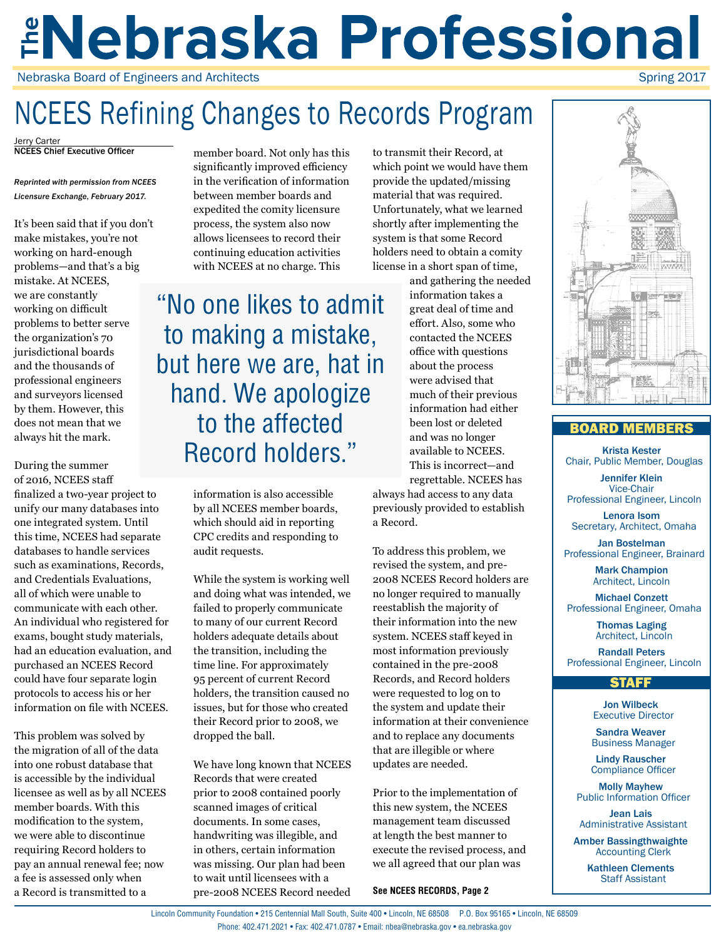## *ENebraska Professional* Nebraska Board of Engineers and Architects Spring 2017

## NCEES Refining Changes to Records Program

**NCEES Chief Executive Officer** 

*Reprinted with permission from NCEES Licensure Exchange, February 2017.* 

It's been said that if you don't make mistakes, you're not working on hard-enough problems—and that's a big mistake. At NCEES, we are constantly working on difficult problems to better serve the organization's 70 jurisdictional boards and the thousands of professional engineers and surveyors licensed by them. However, this does not mean that we always hit the mark.

During the summer of 2016, NCEES staff finalized a two-year project to unify our many databases into one integrated system. Until this time, NCEES had separate databases to handle services such as examinations, Records, and Credentials Evaluations, all of which were unable to communicate with each other. An individual who registered for exams, bought study materials, had an education evaluation, and purchased an NCEES Record could have four separate login protocols to access his or her information on file with NCEES.

This problem was solved by the migration of all of the data into one robust database that is accessible by the individual licensee as well as by all NCEES member boards. With this modification to the system, we were able to discontinue requiring Record holders to pay an annual renewal fee; now a fee is assessed only when a Record is transmitted to a

member board. Not only has this significantly improved efficiency in the verification of information between member boards and expedited the comity licensure process, the system also now allows licensees to record their continuing education activities with NCEES at no charge. This

"No one likes to admit to making a mistake, but here we are, hat in hand. We apologize to the affected Record holders."

> information is also accessible by all NCEES member boards, which should aid in reporting CPC credits and responding to audit requests.

While the system is working well and doing what was intended, we failed to properly communicate to many of our current Record holders adequate details about the transition, including the time line. For approximately 95 percent of current Record holders, the transition caused no issues, but for those who created their Record prior to 2008, we dropped the ball.

We have long known that NCEES Records that were created prior to 2008 contained poorly scanned images of critical documents. In some cases, handwriting was illegible, and in others, certain information was missing. Our plan had been to wait until licensees with a pre-2008 NCEES Record needed

to transmit their Record, at which point we would have them provide the updated/missing material that was required. Unfortunately, what we learned shortly after implementing the system is that some Record holders need to obtain a comity license in a short span of time,

and gathering the needed information takes a great deal of time and effort. Also, some who contacted the NCEES office with questions about the process were advised that much of their previous information had either been lost or deleted and was no longer available to NCEES. This is incorrect—and regrettable. NCEES has

always had access to any data previously provided to establish a Record.

To address this problem, we revised the system, and pre-2008 NCEES Record holders are no longer required to manually reestablish the majority of their information into the new system. NCEES staff keyed in most information previously contained in the pre-2008 Records, and Record holders were requested to log on to the system and update their information at their convenience and to replace any documents that are illegible or where updates are needed.

Prior to the implementation of this new system, the NCEES management team discussed at length the best manner to execute the revised process, and we all agreed that our plan was

**See NCEES RECORDS, Page 2**



## BOARD MEMBERS

Krista Kester Chair, Public Member, Douglas

Jennifer Klein Vice-Chair Professional Engineer, Lincoln

Lenora Isom Secretary, Architect, Omaha

Jan Bostelman Professional Engineer, Brainard

> Mark Champion Architect, Lincoln

Michael Conzett Professional Engineer, Omaha

> Thomas Laging Architect, Lincoln

Randall Peters Professional Engineer, Lincoln

### STAFF

Jon Wilbeck Executive Director

Sandra Weaver Business Manager

Lindy Rauscher Compliance Officer

Molly Mayhew Public Information Officer

Jean Lais Administrative Assistant

Amber Bassingthwaighte Accounting Clerk

> Kathleen Clements Staff Assistant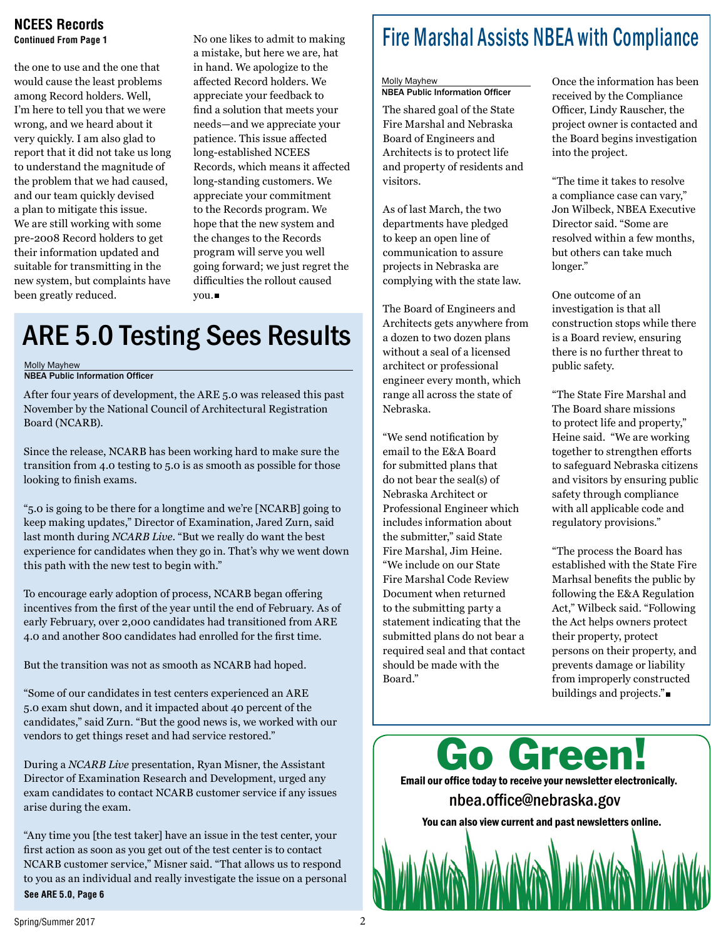### **NCEES Records Continued From Page 1**

the one to use and the one that would cause the least problems among Record holders. Well, I'm here to tell you that we were wrong, and we heard about it very quickly. I am also glad to report that it did not take us long to understand the magnitude of the problem that we had caused, and our team quickly devised a plan to mitigate this issue. We are still working with some pre-2008 Record holders to get their information updated and suitable for transmitting in the new system, but complaints have been greatly reduced.

No one likes to admit to making a mistake, but here we are, hat in hand. We apologize to the affected Record holders. We appreciate your feedback to find a solution that meets your needs—and we appreciate your patience. This issue affected long-established NCEES Records, which means it affected long-standing customers. We appreciate your commitment to the Records program. We hope that the new system and the changes to the Records program will serve you well going forward; we just regret the difficulties the rollout caused you.

## ARE 5.0 Testing Sees Results

Molly Mayhew

NBEA Public Information Officer

After four years of development, the ARE 5.0 was released this past November by the National Council of Architectural Registration Board (NCARB).

Since the release, NCARB has been working hard to make sure the transition from 4.0 testing to 5.0 is as smooth as possible for those looking to finish exams.

"5.0 is going to be there for a longtime and we're [NCARB] going to keep making updates," Director of Examination, Jared Zurn, said last month during *NCARB Live*. "But we really do want the best experience for candidates when they go in. That's why we went down this path with the new test to begin with."

To encourage early adoption of process, NCARB began offering incentives from the first of the year until the end of February. As of early February, over 2,000 candidates had transitioned from ARE 4.0 and another 800 candidates had enrolled for the first time.

But the transition was not as smooth as NCARB had hoped.

"Some of our candidates in test centers experienced an ARE 5.0 exam shut down, and it impacted about 40 percent of the candidates," said Zurn. "But the good news is, we worked with our vendors to get things reset and had service restored."

During a *NCARB Live* presentation, Ryan Misner, the Assistant Director of Examination Research and Development, urged any exam candidates to contact NCARB customer service if any issues arise during the exam.

"Any time you [the test taker] have an issue in the test center, your first action as soon as you get out of the test center is to contact NCARB customer service," Misner said. "That allows us to respond to you as an individual and really investigate the issue on a personal **See ARE 5.0, Page 6**

## Fire Marshal Assists NBEA with Compliance

#### Molly Mayhew NBEA Public Information Officer

The shared goal of the State Fire Marshal and Nebraska Board of Engineers and Architects is to protect life and property of residents and visitors.

As of last March, the two departments have pledged to keep an open line of communication to assure projects in Nebraska are complying with the state law.

The Board of Engineers and Architects gets anywhere from a dozen to two dozen plans without a seal of a licensed architect or professional engineer every month, which range all across the state of Nebraska.

"We send notification by email to the E&A Board for submitted plans that do not bear the seal(s) of Nebraska Architect or Professional Engineer which includes information about the submitter," said State Fire Marshal, Jim Heine. "We include on our State Fire Marshal Code Review Document when returned to the submitting party a statement indicating that the submitted plans do not bear a required seal and that contact should be made with the Board."

Once the information has been received by the Compliance Officer, Lindy Rauscher, the project owner is contacted and the Board begins investigation into the project.

"The time it takes to resolve a compliance case can vary," Jon Wilbeck, NBEA Executive Director said. "Some are resolved within a few months, but others can take much longer."

One outcome of an investigation is that all construction stops while there is a Board review, ensuring there is no further threat to public safety.

"The State Fire Marshal and The Board share missions to protect life and property," Heine said. "We are working together to strengthen efforts to safeguard Nebraska citizens and visitors by ensuring public safety through compliance with all applicable code and regulatory provisions."

"The process the Board has established with the State Fire Marhsal benefits the public by following the E&A Regulation Act," Wilbeck said. "Following the Act helps owners protect their property, protect persons on their property, and prevents damage or liability from improperly constructed buildings and projects."

Go Green! Email our office today to receive your newsletter electronically. nbea.office@nebraska.gov You can also view current and past newsletters online.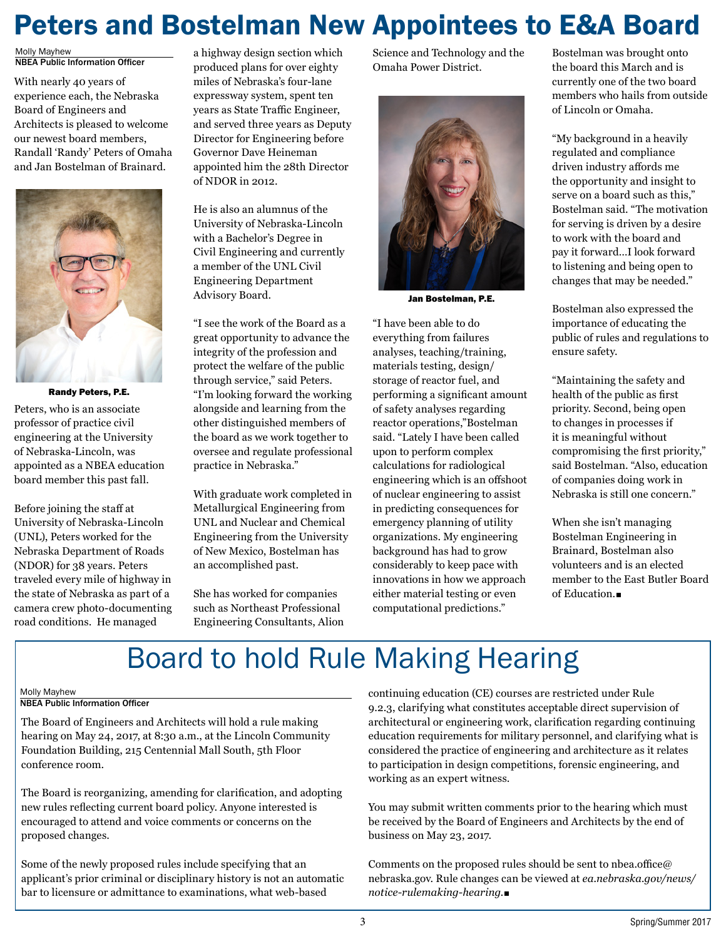## Peters and Bostelman New Appointees to E&A Board

Molly Mayhew NBEA Public Information Officer

With nearly 40 years of experience each, the Nebraska Board of Engineers and Architects is pleased to welcome our newest board members, Randall 'Randy' Peters of Omaha and Jan Bostelman of Brainard.



Randy Peters, P.E.

Peters, who is an associate professor of practice civil engineering at the University of Nebraska-Lincoln, was appointed as a NBEA education board member this past fall.

Before joining the staff at University of Nebraska-Lincoln (UNL), Peters worked for the Nebraska Department of Roads (NDOR) for 38 years. Peters traveled every mile of highway in the state of Nebraska as part of a camera crew photo-documenting road conditions. He managed

a highway design section which produced plans for over eighty miles of Nebraska's four-lane expressway system, spent ten years as State Traffic Engineer, and served three years as Deputy Director for Engineering before Governor Dave Heineman appointed him the 28th Director of NDOR in 2012.

He is also an alumnus of the University of Nebraska-Lincoln with a Bachelor's Degree in Civil Engineering and currently a member of the UNL Civil Engineering Department Advisory Board.

"I see the work of the Board as a great opportunity to advance the integrity of the profession and protect the welfare of the public through service," said Peters. "I'm looking forward the working alongside and learning from the other distinguished members of the board as we work together to oversee and regulate professional practice in Nebraska."

With graduate work completed in Metallurgical Engineering from UNL and Nuclear and Chemical Engineering from the University of New Mexico, Bostelman has an accomplished past.

She has worked for companies such as Northeast Professional Engineering Consultants, Alion Science and Technology and the Omaha Power District.



Jan Bostelman, P.E.

"I have been able to do everything from failures analyses, teaching/training, materials testing, design/ storage of reactor fuel, and performing a significant amount of safety analyses regarding reactor operations,"Bostelman said. "Lately I have been called upon to perform complex calculations for radiological engineering which is an offshoot of nuclear engineering to assist in predicting consequences for emergency planning of utility organizations. My engineering background has had to grow considerably to keep pace with innovations in how we approach either material testing or even computational predictions."

Bostelman was brought onto the board this March and is currently one of the two board members who hails from outside of Lincoln or Omaha.

"My background in a heavily regulated and compliance driven industry affords me the opportunity and insight to serve on a board such as this," Bostelman said. "The motivation for serving is driven by a desire to work with the board and pay it forward…I look forward to listening and being open to changes that may be needed."

Bostelman also expressed the importance of educating the public of rules and regulations to ensure safety.

"Maintaining the safety and health of the public as first priority. Second, being open to changes in processes if it is meaningful without compromising the first priority," said Bostelman. "Also, education of companies doing work in Nebraska is still one concern."

When she isn't managing Bostelman Engineering in Brainard, Bostelman also volunteers and is an elected member to the East Butler Board of Education.

## Board to hold Rule Making Hearing

#### Molly Mayhew

### NBEA Public Information Officer

The Board of Engineers and Architects will hold a rule making hearing on May 24, 2017, at 8:30 a.m., at the Lincoln Community Foundation Building, 215 Centennial Mall South, 5th Floor conference room.

The Board is reorganizing, amending for clarification, and adopting new rules reflecting current board policy. Anyone interested is encouraged to attend and voice comments or concerns on the proposed changes.

Some of the newly proposed rules include specifying that an applicant's prior criminal or disciplinary history is not an automatic bar to licensure or admittance to examinations, what web-based

continuing education (CE) courses are restricted under Rule 9.2.3, clarifying what constitutes acceptable direct supervision of architectural or engineering work, clarification regarding continuing education requirements for military personnel, and clarifying what is considered the practice of engineering and architecture as it relates to participation in design competitions, forensic engineering, and working as an expert witness.

You may submit written comments prior to the hearing which must be received by the Board of Engineers and Architects by the end of business on May 23, 2017.

Comments on the proposed rules should be sent to nbea.office@ nebraska.gov. Rule changes can be viewed at *ea.nebraska.gov/news/ notice-rulemaking-hearing.*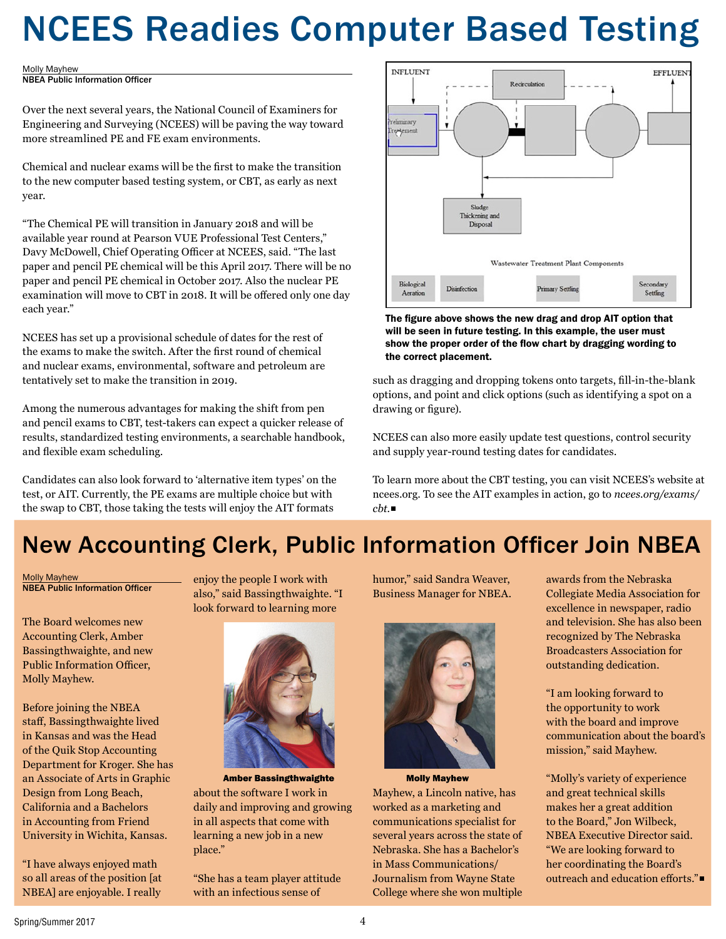# NCEES Readies Computer Based Testing

#### Molly Mayhew

NBEA Public Information Officer

Over the next several years, the National Council of Examiners for Engineering and Surveying (NCEES) will be paving the way toward more streamlined PE and FE exam environments.

Chemical and nuclear exams will be the first to make the transition to the new computer based testing system, or CBT, as early as next year.

"The Chemical PE will transition in January 2018 and will be available year round at Pearson VUE Professional Test Centers," Davy McDowell, Chief Operating Officer at NCEES, said. "The last paper and pencil PE chemical will be this April 2017. There will be no paper and pencil PE chemical in October 2017. Also the nuclear PE examination will move to CBT in 2018. It will be offered only one day each year."

NCEES has set up a provisional schedule of dates for the rest of the exams to make the switch. After the first round of chemical and nuclear exams, environmental, software and petroleum are tentatively set to make the transition in 2019.

Among the numerous advantages for making the shift from pen and pencil exams to CBT, test-takers can expect a quicker release of results, standardized testing environments, a searchable handbook, and flexible exam scheduling.

Candidates can also look forward to 'alternative item types' on the test, or AIT. Currently, the PE exams are multiple choice but with the swap to CBT, those taking the tests will enjoy the AIT formats



The figure above shows the new drag and drop AIT option that will be seen in future testing. In this example, the user must show the proper order of the flow chart by dragging wording to the correct placement.

such as dragging and dropping tokens onto targets, fill-in-the-blank options, and point and click options (such as identifying a spot on a drawing or figure).

NCEES can also more easily update test questions, control security and supply year-round testing dates for candidates.

To learn more about the CBT testing, you can visit NCEES's website at ncees.org. To see the AIT examples in action, go to *ncees.org/exams/ cbt.*

## New Accounting Clerk, Public Information Officer Join NBEA

Molly Mayhew NBEA Public Information Officer

The Board welcomes new Accounting Clerk, Amber Bassingthwaighte, and new Public Information Officer, Molly Mayhew.

Before joining the NBEA staff, Bassingthwaighte lived in Kansas and was the Head of the Quik Stop Accounting Department for Kroger. She has an Associate of Arts in Graphic Design from Long Beach, California and a Bachelors in Accounting from Friend University in Wichita, Kansas.

"I have always enjoyed math so all areas of the position [at NBEA] are enjoyable. I really

enjoy the people I work with also," said Bassingthwaighte. "I look forward to learning more



about the software I work in daily and improving and growing in all aspects that come with learning a new job in a new place." Amber Bassingthwaighte Molly Mayhew

"She has a team player attitude with an infectious sense of

humor," said Sandra Weaver, Business Manager for NBEA.



Mayhew, a Lincoln native, has worked as a marketing and communications specialist for several years across the state of Nebraska. She has a Bachelor's in Mass Communications/ Journalism from Wayne State College where she won multiple

awards from the Nebraska Collegiate Media Association for excellence in newspaper, radio and television. She has also been recognized by The Nebraska Broadcasters Association for outstanding dedication.

"I am looking forward to the opportunity to work with the board and improve communication about the board's mission," said Mayhew.

"Molly's variety of experience and great technical skills makes her a great addition to the Board," Jon Wilbeck, NBEA Executive Director said. "We are looking forward to her coordinating the Board's outreach and education efforts."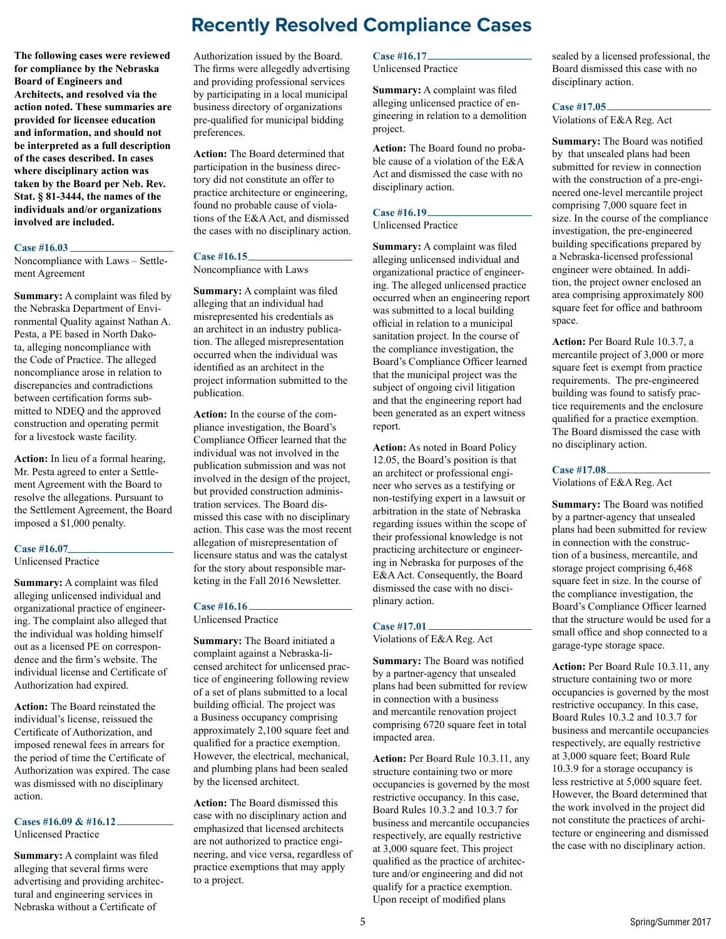## **Recently Resolved Compliance Cases**

**The following cases were reviewed for compliance by the Nebraska Board of Engineers and Architects, and resolved via the action noted. These summaries are provided for licensee education and information, and should not be interpreted as a full description of the cases described. In cases where disciplinary action was taken by the Board per Neb. Rev. Stat. § 81-3444, the names of the individuals and/or organizations involved are included.**

#### **Case #16.03**

Noncompliance with Laws – Settlement Agreement

**Summary:** A complaint was filed by the Nebraska Department of Environmental Quality against Nathan A. Pesta, a PE based in North Dakota, alleging noncompliance with the Code of Practice. The alleged noncompliance arose in relation to discrepancies and contradictions between certification forms submitted to NDEQ and the approved construction and operating permit for a livestock waste facility.

**Action:** In lieu of a formal hearing, Mr. Pesta agreed to enter a Settlement Agreement with the Board to resolve the allegations. Pursuant to the Settlement Agreement, the Board imposed a \$1,000 penalty.

#### **Case #16.07**

Unlicensed Practice

**Summary:** A complaint was filed alleging unlicensed individual and organizational practice of engineering. The complaint also alleged that the individual was holding himself out as a licensed PE on correspondence and the firm's website. The individual license and Certificate of Authorization had expired.

**Action:** The Board reinstated the individual's license, reissued the Certificate of Authorization, and imposed renewal fees in arrears for the period of time the Certificate of Authorization was expired. The case was dismissed with no disciplinary action.

#### **Cases #16.09 & #16.12**

Unlicensed Practice

**Summary:** A complaint was filed alleging that several firms were advertising and providing architectural and engineering services in Nebraska without a Certificate of

Authorization issued by the Board. The firms were allegedly advertising and providing professional services by participating in a local municipal business directory of organizations pre-qualified for municipal bidding preferences.

**Action:** The Board determined that participation in the business directory did not constitute an offer to practice architecture or engineering, found no probable cause of violations of the E&A Act, and dismissed the cases with no disciplinary action.

## **Case #16.15**

Noncompliance with Laws

**Summary:** A complaint was filed alleging that an individual had misrepresented his credentials as an architect in an industry publication. The alleged misrepresentation occurred when the individual was identified as an architect in the project information submitted to the publication.

**Action:** In the course of the compliance investigation, the Board's Compliance Officer learned that the individual was not involved in the publication submission and was not involved in the design of the project, but provided construction administration services. The Board dismissed this case with no disciplinary action. This case was the most recent allegation of misrepresentation of licensure status and was the catalyst for the story about responsible marketing in the Fall 2016 Newsletter.

## **Case #16.16**

Unlicensed Practice

**Summary:** The Board initiated a complaint against a Nebraska-licensed architect for unlicensed practice of engineering following review of a set of plans submitted to a local building official. The project was a Business occupancy comprising approximately 2,100 square feet and qualified for a practice exemption. However, the electrical, mechanical, and plumbing plans had been sealed by the licensed architect.

**Action:** The Board dismissed this case with no disciplinary action and emphasized that licensed architects are not authorized to practice engineering, and vice versa, regardless of practice exemptions that may apply to a project.

#### **Case #16.17**

Unlicensed Practice

**Summary:** A complaint was filed alleging unlicensed practice of engineering in relation to a demolition project.

**Action:** The Board found no probable cause of a violation of the E&A Act and dismissed the case with no disciplinary action.

#### **Case #16.19**

Unlicensed Practice

**Summary:** A complaint was filed alleging unlicensed individual and organizational practice of engineering. The alleged unlicensed practice occurred when an engineering report was submitted to a local building official in relation to a municipal sanitation project. In the course of the compliance investigation, the Board's Compliance Officer learned that the municipal project was the subject of ongoing civil litigation and that the engineering report had been generated as an expert witness report.

**Action:** As noted in Board Policy 12.05, the Board's position is that an architect or professional engineer who serves as a testifying or non-testifying expert in a lawsuit or arbitration in the state of Nebraska regarding issues within the scope of their professional knowledge is not practicing architecture or engineering in Nebraska for purposes of the E&A Act. Consequently, the Board dismissed the case with no disciplinary action.

## **Case #17.01**

Violations of E&A Reg. Act

**Summary:** The Board was notified by a partner-agency that unsealed plans had been submitted for review in connection with a business and mercantile renovation project comprising 6720 square feet in total impacted area.

**Action:** Per Board Rule 10.3.11, any structure containing two or more occupancies is governed by the most restrictive occupancy. In this case, Board Rules 10.3.2 and 10.3.7 for business and mercantile occupancies respectively, are equally restrictive at 3,000 square feet. This project qualified as the practice of architecture and/or engineering and did not qualify for a practice exemption. Upon receipt of modified plans

sealed by a licensed professional, the Board dismissed this case with no disciplinary action.

#### **Case #17.05**

Violations of E&A Reg. Act

**Summary:** The Board was notified by that unsealed plans had been submitted for review in connection with the construction of a pre-engineered one-level mercantile project comprising 7,000 square feet in size. In the course of the compliance investigation, the pre-engineered building specifications prepared by a Nebraska-licensed professional engineer were obtained. In addition, the project owner enclosed an area comprising approximately 800 square feet for office and bathroom space.

**Action:** Per Board Rule 10.3.7, a mercantile project of 3,000 or more square feet is exempt from practice requirements. The pre-engineered building was found to satisfy practice requirements and the enclosure qualified for a practice exemption. The Board dismissed the case with no disciplinary action.

#### **Case #17.08**

Violations of E&A Reg. Act

**Summary:** The Board was notified by a partner-agency that unsealed plans had been submitted for review in connection with the construction of a business, mercantile, and storage project comprising 6,468 square feet in size. In the course of the compliance investigation, the Board's Compliance Officer learned that the structure would be used for a small office and shop connected to a garage-type storage space.

**Action:** Per Board Rule 10.3.11, any structure containing two or more occupancies is governed by the most restrictive occupancy. In this case, Board Rules 10.3.2 and 10.3.7 for business and mercantile occupancies respectively, are equally restrictive at 3,000 square feet; Board Rule 10.3.9 for a storage occupancy is less restrictive at 5,000 square feet. However, the Board determined that the work involved in the project did not constitute the practices of architecture or engineering and dismissed the case with no disciplinary action.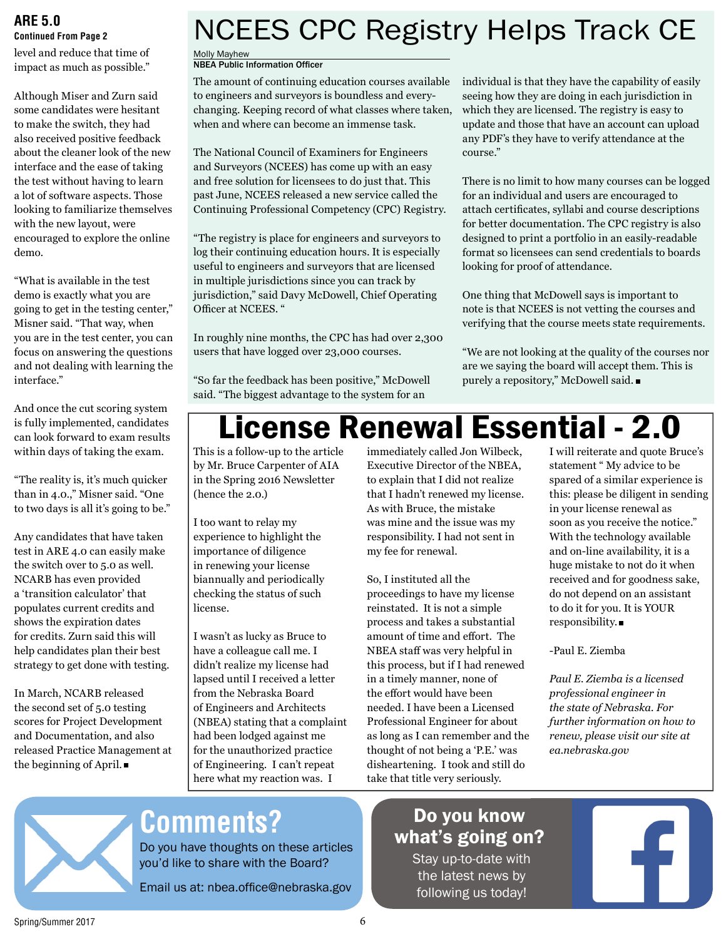### **ARE 5.0 Continued From Page 2**

level and reduce that time of impact as much as possible."

Although Miser and Zurn said some candidates were hesitant to make the switch, they had also received positive feedback about the cleaner look of the new interface and the ease of taking the test without having to learn a lot of software aspects. Those looking to familiarize themselves with the new layout, were encouraged to explore the online demo.

"What is available in the test demo is exactly what you are going to get in the testing center," Misner said. "That way, when you are in the test center, you can focus on answering the questions and not dealing with learning the interface."

And once the cut scoring system is fully implemented, candidates can look forward to exam results within days of taking the exam.

"The reality is, it's much quicker than in 4.0.," Misner said. "One to two days is all it's going to be."

Any candidates that have taken test in ARE 4.0 can easily make the switch over to 5.0 as well. NCARB has even provided a 'transition calculator' that populates current credits and shows the expiration dates for credits. Zurn said this will help candidates plan their best strategy to get done with testing.

In March, NCARB released the second set of 5.0 testing scores for Project Development and Documentation, and also released Practice Management at the beginning of April.

## NCEES CPC Registry Helps Track CE

Molly Mayhew

### **NBEA Public Information Officer**

The amount of continuing education courses available to engineers and surveyors is boundless and everychanging. Keeping record of what classes where taken, when and where can become an immense task.

The National Council of Examiners for Engineers and Surveyors (NCEES) has come up with an easy and free solution for licensees to do just that. This past June, NCEES released a new service called the Continuing Professional Competency (CPC) Registry.

"The registry is place for engineers and surveyors to log their continuing education hours. It is especially useful to engineers and surveyors that are licensed in multiple jurisdictions since you can track by jurisdiction," said Davy McDowell, Chief Operating Officer at NCEES. "

In roughly nine months, the CPC has had over 2,300 users that have logged over 23,000 courses.

"So far the feedback has been positive," McDowell said. "The biggest advantage to the system for an

individual is that they have the capability of easily seeing how they are doing in each jurisdiction in which they are licensed. The registry is easy to update and those that have an account can upload any PDF's they have to verify attendance at the course."

There is no limit to how many courses can be logged for an individual and users are encouraged to attach certificates, syllabi and course descriptions for better documentation. The CPC registry is also designed to print a portfolio in an easily-readable format so licensees can send credentials to boards looking for proof of attendance.

One thing that McDowell says is important to note is that NCEES is not vetting the courses and verifying that the course meets state requirements.

"We are not looking at the quality of the courses nor are we saying the board will accept them. This is purely a repository," McDowell said.

## License Renewal Essential - 2.0

This is a follow-up to the article by Mr. Bruce Carpenter of AIA in the Spring 2016 Newsletter (hence the 2.0.)

I too want to relay my experience to highlight the importance of diligence in renewing your license biannually and periodically checking the status of such license.

I wasn't as lucky as Bruce to have a colleague call me. I didn't realize my license had lapsed until I received a letter from the Nebraska Board of Engineers and Architects (NBEA) stating that a complaint had been lodged against me for the unauthorized practice of Engineering. I can't repeat here what my reaction was. I

immediately called Jon Wilbeck, Executive Director of the NBEA, to explain that I did not realize that I hadn't renewed my license. As with Bruce, the mistake was mine and the issue was my responsibility. I had not sent in my fee for renewal.

So, I instituted all the proceedings to have my license reinstated. It is not a simple process and takes a substantial amount of time and effort. The NBEA staff was very helpful in this process, but if I had renewed in a timely manner, none of the effort would have been needed. I have been a Licensed Professional Engineer for about as long as I can remember and the thought of not being a 'P.E.' was disheartening. I took and still do take that title very seriously.

I will reiterate and quote Bruce's statement " My advice to be spared of a similar experience is this: please be diligent in sending in your license renewal as soon as you receive the notice." With the technology available and on-line availability, it is a huge mistake to not do it when received and for goodness sake, do not depend on an assistant to do it for you. It is YOUR responsibility.

-Paul E. Ziemba

*Paul E. Ziemba is a licensed professional engineer in the state of Nebraska. For further information on how to renew, please visit our site at ea.nebraska.gov* 



## **Comments?**

Do you have thoughts on these articles you'd like to share with the Board?

Email us at: nbea.office@nebraska.gov

Do you know what's going on?

Stay up-to-date with the latest news by following us today!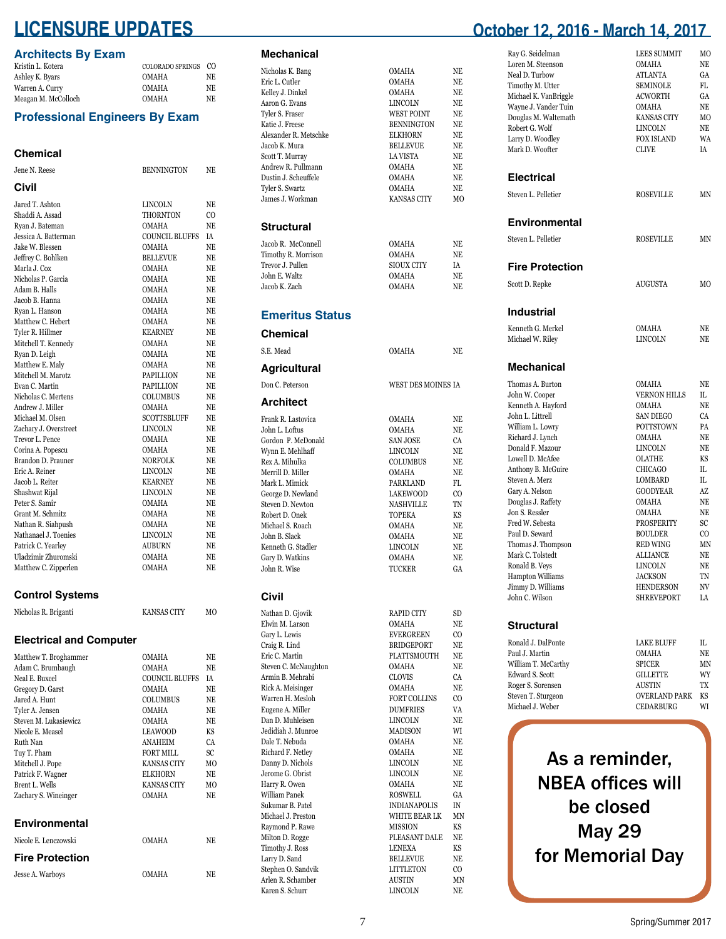## **LICENSURE UPDATES**

### **Architects By Exam**

| Kristin L. Kotera   | COLORADO SPRINGS CO |     |
|---------------------|---------------------|-----|
| Ashley K. Byars     | <b>OMAHA</b>        | NE. |
| Warren A. Curry     | <b>OMAHA</b>        | NE  |
| Meagan M. McColloch | <b>OMAHA</b>        | NE  |

### **Professional Engineers By Exam**

#### **Chemical** Jene N. Reese BENNINGTON NE **Civil** Jared T. Ashton LINCOLN NE Shaddi A. Assad THORNTON CO Ryan J. Bateman<br>Jessica A. Batterman Jessica A. Batterman COUNCIL BLUFFS IA Jake W. Blessen OMAHA NE Jeffrey C. Bohlken Marla J. Cox OMAHA NE Nicholas P. Garcia Adam B. Halls OMAHA NE Jacob B. Hanna OMAHA NE Ryan L. Hanson Matthew C. Hebert OMAHA NE Tyler R. Hillmer Mitchell T. Kennedy OMAHA NE Ryan D. Leigh OMAHA NE<br>Matthew E. Malv OMAHA NE Matthew E. Maly Mitchell M. Marotz **PAPILLION** NE<br> **Evan C. Martin** PAPILLION NE Evan C. Martin PAPILLION<br>Nicholas C. Mertens COLUMBUS Nicholas C. Mertens COLUMBUS NE<br>Andrew J. Miller COMAHA NE Andrew J. Miller OMAHA NE SCOTTSBLUFF NE<br>LINCOLN NE Zachary J. Overstreet LINCOLN NE Trevor L. Pence Corina A. Popescu OMAHA NE Brandon D. Prauner NORFOLK NE<br>
Fric A Reiner INCOLN NE Eric A. Reiner LINCOLN NE Jacob L. Reiter KEARNEY NE Shashwat Rijal Peter S. Samir OMAHA NE Grant M. Schmitz Nathan R. Siahpush OMAHA NE<br>Nathanael J. Toenies LINCOLN NE Nathanael J. Toenies LINCOLN NE Patrick C. Yearley Uladzimir Zhuromski OMAHA NE Matthew C. Zipperlen

### **Control Systems**

| Nicholas R. Briganti | <b>KANSAS CITY</b> | MО |
|----------------------|--------------------|----|
|                      |                    |    |

### **Electrical and Computer**

| Matthew T. Broghammer  | <b>OMAHA</b>          | NE             |
|------------------------|-----------------------|----------------|
| Adam C. Brumbaugh      | <b>OMAHA</b>          | NE             |
| Neal E. Buxcel         | <b>COUNCIL BLUFFS</b> | ĪΑ             |
| Gregory D. Garst       | <b>OMAHA</b>          | NE             |
| Jared A. Hunt          | <b>COLUMBUS</b>       | NE             |
| Tyler A. Jensen        | <b>OMAHA</b>          | NE             |
| Steven M. Lukasiewicz  | <b>OMAHA</b>          | NE.            |
| Nicole E. Measel       | LEAWOOD               | KS             |
| Ruth Nan               | <b>ANAHEIM</b>        | CA             |
| Tuy T. Pham            | FORT MILL             | SC             |
| Mitchell J. Pope       | <b>KANSAS CITY</b>    | M <sub>0</sub> |
| Patrick F. Wagner      | <b>ELKHORN</b>        | NE.            |
| Brent L. Wells         | <b>KANSAS CITY</b>    | M <sub>O</sub> |
| Zachary S. Wineinger   | <b>OMAHA</b>          | NE             |
| <b>Environmental</b>   |                       |                |
| Nicole E. Lenczowski   | <b>OMAHA</b>          | NE.            |
| <b>Fire Protection</b> |                       |                |
| Jesse A. Warboys       | <b>OMAHA</b>          | NE             |

### **Mechanic**

| Mechanical                               |                                     |                 |
|------------------------------------------|-------------------------------------|-----------------|
| Nicholas K. Bang                         | <b>OMAHA</b>                        | NE              |
| Eric L. Cutler                           | OMAHA                               | NE              |
| Kelley J. Dinkel                         | OMAHA                               | NE              |
| Aaron G. Evans                           | LINCOLN                             | NE              |
| Tyler S. Fraser                          | WEST POINT                          | NE.             |
| Katie J. Freese<br>Alexander R. Metschke | <b>BENNINGTON</b><br><b>ELKHORN</b> | NE<br>NE        |
| Jacob K. Mura                            | <b>BELLEVUE</b>                     | NE              |
| Scott T. Murray                          | LA VISTA                            | NE              |
| Andrew R. Pullmann                       | <b>OMAHA</b>                        | NE              |
| Dustin J. Scheuffele                     | OMAHA                               | NE              |
| Tyler S. Swartz                          | <b>OMAHA</b>                        | NE              |
| James J. Workman                         | KANSAS CITY                         | МO              |
| Structural                               |                                     |                 |
| Jacob R. McConnell                       | OMAHA                               | NE              |
| Timothy R. Morrison                      | OMAHA                               | NE              |
| Trevor J. Pullen                         | SIOUX CITY                          | IA              |
| John E. Waltz                            | OMAHA                               | NE              |
| Jacob K. Zach                            | OMAHA                               | NE              |
| <b>Emeritus Status</b>                   |                                     |                 |
| Chemical                                 |                                     |                 |
| S.E. Mead                                | OMAHA                               | NE              |
| <b>Agricultural</b>                      |                                     |                 |
| Don C. Peterson                          | WEST DES MOINES IA                  |                 |
| <b>Architect</b>                         |                                     |                 |
| Frank R. Lastovica                       | OMAHA                               | NE              |
| John L. Loftus<br>Gordon P. McDonald     | OMAHA<br><b>SAN JOSE</b>            | NE<br><b>CA</b> |
| Wynn E. Mehlhaff                         | LINCOLN                             | NE              |
| Rex A. Mihulka                           | COLUMBUS                            | NE              |
| Merrill D. Miller                        | OMAHA                               | NE              |
| Mark L. Mimick                           | PARKLAND                            | FL              |
| George D. Newland                        | <b>LAKEWOOD</b>                     | CO.             |
| Steven D. Newton                         | <b>NASHVILLE</b>                    | TN              |
| Robert D. Onek<br>Michael S. Roach       | <b>TOPEKA</b><br>OMAHA              | KS<br>NE        |
| John B. Slack                            | OMAHA                               | NE              |
| Kenneth G. Stadler                       | LINCOLN                             | NE              |
| Gary D. Watkins                          | OMAHA                               | NE              |
| John R. Wise                             | <b>TUCKER</b>                       | GA              |
| Civil                                    |                                     |                 |
| Nathan D. Gjovik                         | <b>RAPID CITY</b>                   | SD              |
| Elwin M. Larson                          | OMAHA                               | NE              |
| Gary L. Lewis                            | <b>EVERGREEN</b>                    | CO.             |
| Craig R. Lind                            | <b>BRIDGEPORT</b>                   | NE              |
| Eric C. Martin                           | PLATTSMOUTH                         | NE              |
| Steven C. McNaughton<br>Armin B. Mehrabi | OMAHA<br><b>CLOVIS</b>              | NE<br>CA        |
| Rick A. Meisinger                        | OMAHA                               | NE              |
| Warren H. Mesloh                         | <b>FORT COLLINS</b>                 | C <sub>O</sub>  |
| Eugene A. Miller                         | <b>DUMFRIES</b>                     | VA              |
| Dan D. Muhleisen                         | <b>LINCOLN</b>                      | NE              |
| Jedidiah J. Munroe                       | <b>MADISON</b>                      | WI              |
| Dale T. Nebuda                           | OMAHA                               | NE              |
| Richard F. Netley<br>Danny D. Nichols    | OMAHA<br><b>LINCOLN</b>             | NE<br>NE        |
| Jerome G. Obrist                         | <b>LINCOLN</b>                      | NE              |
| Harry R. Owen                            | OMAHA                               | NE              |
| William Panek                            | <b>ROSWELL</b>                      | GA              |
| Sukumar B. Patel                         | <b>INDIANAPOLIS</b>                 | IN              |
| Michael J. Preston                       | WHITE BEAR LK                       | MΝ              |
| Raymond P. Rawe                          | MISSION<br>PLEASANT DALE            | KS<br>NE        |
| Milton D. Rogge<br>Timothy J. Ross       | <b>LENEXA</b>                       | KS              |
| Larry D. Sand                            | <b>BELLEVUE</b>                     | NE              |
| Stephen O. Sandvik                       | <b>LITTLETON</b>                    | CO              |
| Arlen R. Schamber                        | AUSTIN                              | MN              |
| Karen S. Schurr                          | <b>LINCOLN</b>                      | NE.             |

## **October 12, 2016 - March 14, 2017**

| Ray G. Seidelman<br>Loren M. Steenson<br>Neal D. Turbow<br>Timothy M. Utter<br>Michael K. VanBriggle<br>Wayne J. Vander Tuin<br>Douglas M. Waltemath<br>Robert G. Wolf<br>Larry D. Woodley<br>Mark D. Woofter                                                                                                                                                                                                                     | LEES SUMMIT<br>OMAHA<br>ATLANTA<br>SEMINOLE<br>ACWORTH<br>OMAHA<br><b>KANSAS CITY</b><br><b>LINCOLN</b><br><b>FOX ISLAND</b><br>CLIVE                                                                                                                                                  | МO<br>NE<br>GA<br>FL<br>GA<br>NE<br>МO<br>NE<br>WA<br>ΙA                                                                       |
|-----------------------------------------------------------------------------------------------------------------------------------------------------------------------------------------------------------------------------------------------------------------------------------------------------------------------------------------------------------------------------------------------------------------------------------|----------------------------------------------------------------------------------------------------------------------------------------------------------------------------------------------------------------------------------------------------------------------------------------|--------------------------------------------------------------------------------------------------------------------------------|
|                                                                                                                                                                                                                                                                                                                                                                                                                                   |                                                                                                                                                                                                                                                                                        |                                                                                                                                |
| <b>Electrical</b>                                                                                                                                                                                                                                                                                                                                                                                                                 |                                                                                                                                                                                                                                                                                        |                                                                                                                                |
| Steven L. Pelletier                                                                                                                                                                                                                                                                                                                                                                                                               | <b>ROSEVILLE</b>                                                                                                                                                                                                                                                                       | MΝ                                                                                                                             |
| <b>Environmental</b>                                                                                                                                                                                                                                                                                                                                                                                                              |                                                                                                                                                                                                                                                                                        |                                                                                                                                |
| Steven L. Pelletier                                                                                                                                                                                                                                                                                                                                                                                                               | <b>ROSEVILLE</b>                                                                                                                                                                                                                                                                       | MΝ                                                                                                                             |
| <b>Fire Protection</b>                                                                                                                                                                                                                                                                                                                                                                                                            |                                                                                                                                                                                                                                                                                        |                                                                                                                                |
| Scott D. Repke                                                                                                                                                                                                                                                                                                                                                                                                                    | AUGUSTA                                                                                                                                                                                                                                                                                | МO                                                                                                                             |
| <b>Industrial</b>                                                                                                                                                                                                                                                                                                                                                                                                                 |                                                                                                                                                                                                                                                                                        |                                                                                                                                |
| Kenneth G. Merkel                                                                                                                                                                                                                                                                                                                                                                                                                 | OMAHA                                                                                                                                                                                                                                                                                  | NE                                                                                                                             |
| Michael W. Riley                                                                                                                                                                                                                                                                                                                                                                                                                  | <b>LINCOLN</b>                                                                                                                                                                                                                                                                         | NE.                                                                                                                            |
| <b>Mechanical</b>                                                                                                                                                                                                                                                                                                                                                                                                                 |                                                                                                                                                                                                                                                                                        |                                                                                                                                |
| Thomas A. Burton<br>John W. Cooper<br>Kenneth A. Hayford<br>John L. Littrell<br>William L. Lowry<br>Richard J. Lynch<br>Donald F. Mazour<br>Lowell D. McAfee<br>Anthony B. McGuire<br>Steven A. Merz<br>Gary A. Nelson<br>Douglas J. Raffety<br>Jon S. Ressler<br>Fred W. Sebesta<br>Paul D. Seward<br>Thomas J. Thompson<br>Mark C. Tolstedt<br>Ronald B. Veys<br><b>Hampton Williams</b><br>Jimmy D. Williams<br>John C. Wilson | OMAHA<br><b>VERNON HILLS</b><br>OMAHA<br><b>SAN DIEGO</b><br>POTTSTOWN<br>OMAHA<br>LINCOLN<br>OLATHE<br>CHICAGO<br>LOMBARD<br><b>GOODYEAR</b><br>OMAHA<br>OMAHA<br>PROSPERITY<br><b>BOULDER</b><br>RED WING<br><b>ALLIANCE</b><br>LINCOLN<br>JACKSON<br>HENDERSON<br><b>SHREVEPORT</b> | NE<br>IL.<br>NE<br>CA<br>PA<br>NE<br>NE<br>KS<br>IL.<br>IL.<br>AZ<br>NE<br>NE<br>SC<br>CO.<br>MΝ<br>NE<br>NE<br>TN<br>NV<br>LA |
| Structural                                                                                                                                                                                                                                                                                                                                                                                                                        |                                                                                                                                                                                                                                                                                        |                                                                                                                                |
| Ronald J. DalPonte<br>Paul J. Martin<br>William T. McCarthy<br>Edward S. Scott<br>Roger S. Sorensen<br>Steven T. Sturgeon<br>Michael J. Weber                                                                                                                                                                                                                                                                                     | <b>LAKE BLUFF</b><br>OMAHA<br>SPICER<br><b>GILLETTE</b><br>AUSTIN<br>OVERLAND PARK<br>CEDARBURG                                                                                                                                                                                        | IL.<br>NE<br>MΝ<br>WY<br>TX<br>KS<br>WI                                                                                        |
| As a reminder,<br><b>NBEA offices will</b>                                                                                                                                                                                                                                                                                                                                                                                        |                                                                                                                                                                                                                                                                                        |                                                                                                                                |

be closed May 29 for Memorial Day

7 Spring/Summer 2017